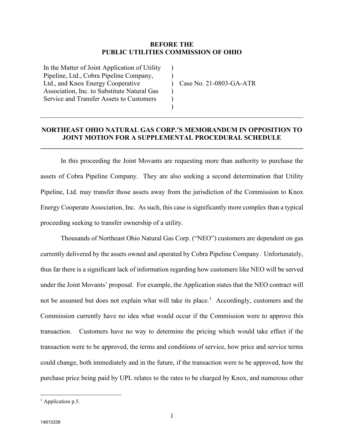## **BEFORE THE PUBLIC UTILITIES COMMISSION OF OHIO**

)  $\lambda$ )  $\lambda$ ) )

In the Matter of Joint Application of Utility Pipeline, Ltd., Cobra Pipeline Company, Ltd., and Knox Energy Cooperative Association, Inc. to Substitute Natural Gas Service and Transfer Assets to Customers

Case No. 21-0803-GA-ATR

## **NORTHEAST OHIO NATURAL GAS CORP.'S MEMORANDUM IN OPPOSITION TO JOINT MOTION FOR A SUPPLEMENTAL PROCEDURAL SCHEDULE**

**\_\_\_\_\_\_\_\_\_\_\_\_\_\_\_\_\_\_\_\_\_\_\_\_\_\_\_\_\_\_\_\_\_\_\_\_\_\_\_\_\_\_\_\_\_\_\_\_\_\_\_\_\_\_\_\_\_\_\_\_\_\_\_\_\_\_\_\_\_\_\_\_\_\_\_\_\_\_**

\_\_\_\_\_\_\_\_\_\_\_\_\_\_\_\_\_\_\_\_\_\_\_\_\_\_\_\_\_\_\_\_\_\_\_\_\_\_\_\_\_\_\_\_\_\_\_\_\_\_\_\_\_\_\_\_\_\_\_\_\_\_\_\_\_\_\_\_\_\_\_\_\_\_\_\_\_\_

In this proceeding the Joint Movants are requesting more than authority to purchase the assets of Cobra Pipeline Company. They are also seeking a second determination that Utility Pipeline, Ltd. may transfer those assets away from the jurisdiction of the Commission to Knox Energy Cooperate Association, Inc. As such, this case is significantly more complex than a typical proceeding seeking to transfer ownership of a utility.

Thousands of Northeast Ohio Natural Gas Corp. ("NEO") customers are dependent on gas currently delivered by the assets owned and operated by Cobra Pipeline Company. Unfortunately, thus far there is a significant lack of information regarding how customers like NEO will be served under the Joint Movants' proposal. For example, the Application states that the NEO contract will not be assumed but does not explain what will take its place. [1](#page-0-0) Accordingly, customers and the Commission currently have no idea what would occur if the Commission were to approve this transaction. Customers have no way to determine the pricing which would take effect if the transaction were to be approved, the terms and conditions of service, how price and service terms could change, both immediately and in the future, if the transaction were to be approved, how the purchase price being paid by UPL relates to the rates to be charged by Knox, and numerous other

<span id="page-0-0"></span><sup>&</sup>lt;sup>1</sup> Application p.5.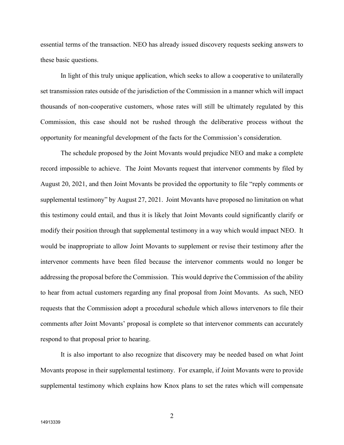essential terms of the transaction. NEO has already issued discovery requests seeking answers to these basic questions.

In light of this truly unique application, which seeks to allow a cooperative to unilaterally set transmission rates outside of the jurisdiction of the Commission in a manner which will impact thousands of non-cooperative customers, whose rates will still be ultimately regulated by this Commission, this case should not be rushed through the deliberative process without the opportunity for meaningful development of the facts for the Commission's consideration.

The schedule proposed by the Joint Movants would prejudice NEO and make a complete record impossible to achieve. The Joint Movants request that intervenor comments by filed by August 20, 2021, and then Joint Movants be provided the opportunity to file "reply comments or supplemental testimony" by August 27, 2021. Joint Movants have proposed no limitation on what this testimony could entail, and thus it is likely that Joint Movants could significantly clarify or modify their position through that supplemental testimony in a way which would impact NEO. It would be inappropriate to allow Joint Movants to supplement or revise their testimony after the intervenor comments have been filed because the intervenor comments would no longer be addressing the proposal before the Commission. This would deprive the Commission of the ability to hear from actual customers regarding any final proposal from Joint Movants. As such, NEO requests that the Commission adopt a procedural schedule which allows intervenors to file their comments after Joint Movants' proposal is complete so that intervenor comments can accurately respond to that proposal prior to hearing.

It is also important to also recognize that discovery may be needed based on what Joint Movants propose in their supplemental testimony. For example, if Joint Movants were to provide supplemental testimony which explains how Knox plans to set the rates which will compensate

2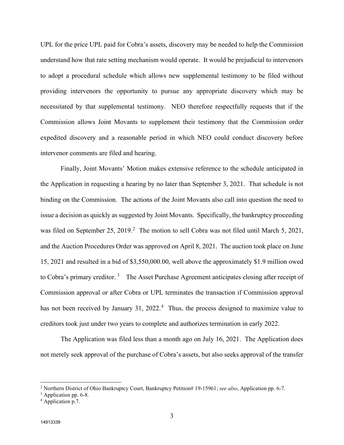UPL for the price UPL paid for Cobra's assets, discovery may be needed to help the Commission understand how that rate setting mechanism would operate. It would be prejudicial to intervenors to adopt a procedural schedule which allows new supplemental testimony to be filed without providing intervenors the opportunity to pursue any appropriate discovery which may be necessitated by that supplemental testimony. NEO therefore respectfully requests that if the Commission allows Joint Movants to supplement their testimony that the Commission order expedited discovery and a reasonable period in which NEO could conduct discovery before intervenor comments are filed and hearing.

Finally, Joint Movants' Motion makes extensive reference to the schedule anticipated in the Application in requesting a hearing by no later than September 3, 2021. That schedule is not binding on the Commission. The actions of the Joint Movants also call into question the need to issue a decision as quickly as suggested by Joint Movants. Specifically, the bankruptcy proceeding was filed on September [2](#page-2-2)5, 2019.<sup>2</sup> The motion to sell Cobra was not filed until March 5, 2021, and the Auction Procedures Order was approved on April 8, 2021. The auction took place on June 15, 2021 and resulted in a bid of \$3,550,000.00, well above the approximately \$1.9 million owed to Cobra's primary creditor.<sup>[3](#page-2-1)</sup> The Asset Purchase Agreement anticipates closing after receipt of Commission approval or after Cobra or UPL terminates the transaction if Commission approval has not been received by January 31, 2022.<sup>[4](#page-2-0)</sup> Thus, the process designed to maximize value to creditors took just under two years to complete and authorizes termination in early 2022.

The Application was filed less than a month ago on July 16, 2021. The Application does not merely seek approval of the purchase of Cobra's assets, but also seeks approval of the transfer

<span id="page-2-2"></span><sup>2</sup> Northern District of Ohio Bankruptcy Court, Bankruptcy Petition# 19-15961; *see also*, Application pp. 6-7.

<span id="page-2-1"></span><sup>&</sup>lt;sup>3</sup> Application pp. 6-8.

<span id="page-2-0"></span><sup>4</sup> Application p.7.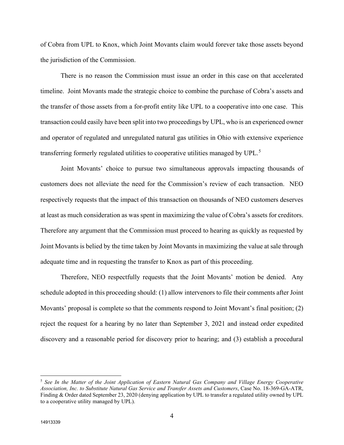of Cobra from UPL to Knox, which Joint Movants claim would forever take those assets beyond the jurisdiction of the Commission.

There is no reason the Commission must issue an order in this case on that accelerated timeline. Joint Movants made the strategic choice to combine the purchase of Cobra's assets and the transfer of those assets from a for-profit entity like UPL to a cooperative into one case. This transaction could easily have been split into two proceedings by UPL, who is an experienced owner and operator of regulated and unregulated natural gas utilities in Ohio with extensive experience transferring formerly regulated utilities to cooperative utilities managed by UPL.<sup>[5](#page-3-0)</sup>

Joint Movants' choice to pursue two simultaneous approvals impacting thousands of customers does not alleviate the need for the Commission's review of each transaction. NEO respectively requests that the impact of this transaction on thousands of NEO customers deserves at least as much consideration as was spent in maximizing the value of Cobra's assets for creditors. Therefore any argument that the Commission must proceed to hearing as quickly as requested by Joint Movants is belied by the time taken by Joint Movants in maximizing the value at sale through adequate time and in requesting the transfer to Knox as part of this proceeding.

Therefore, NEO respectfully requests that the Joint Movants' motion be denied. Any schedule adopted in this proceeding should: (1) allow intervenors to file their comments after Joint Movants' proposal is complete so that the comments respond to Joint Movant's final position; (2) reject the request for a hearing by no later than September 3, 2021 and instead order expedited discovery and a reasonable period for discovery prior to hearing; and (3) establish a procedural

<span id="page-3-0"></span><sup>5</sup> *See In the Matter of the Joint Application of Eastern Natural Gas Company and Village Energy Cooperative Association, Inc. to Substitute Natural Gas Service and Transfer Assets and Customers*, Case No. 18-369-GA-ATR, Finding & Order dated September 23, 2020 (denying application by UPL to transfer a regulated utility owned by UPL to a cooperative utility managed by UPL).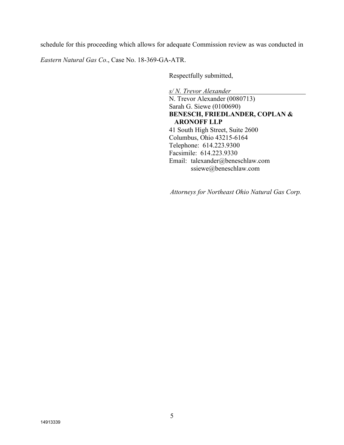schedule for this proceeding which allows for adequate Commission review as was conducted in

*Eastern Natural Gas Co*., Case No. 18-369-GA-ATR.

Respectfully submitted,

*s/ N. Trevor Alexander* N. Trevor Alexander (0080713) Sarah G. Siewe (0100690) **BENESCH, FRIEDLANDER, COPLAN & ARONOFF LLP** 41 South High Street, Suite 2600 Columbus, Ohio 43215-6164 Telephone: 614.223.9300 Facsimile: 614.223.9330 Email: talexander@beneschlaw.com ssiewe@beneschlaw.com

*Attorneys for Northeast Ohio Natural Gas Corp.*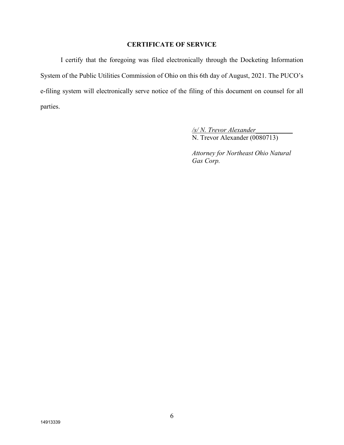## **CERTIFICATE OF SERVICE**

I certify that the foregoing was filed electronically through the Docketing Information System of the Public Utilities Commission of Ohio on this 6th day of August, 2021. The PUCO's e-filing system will electronically serve notice of the filing of this document on counsel for all parties.

> */s/ N. Trevor Alexander\_\_\_\_\_\_\_\_\_\_\_* N. Trevor Alexander (0080713)

*Attorney for Northeast Ohio Natural Gas Corp.*